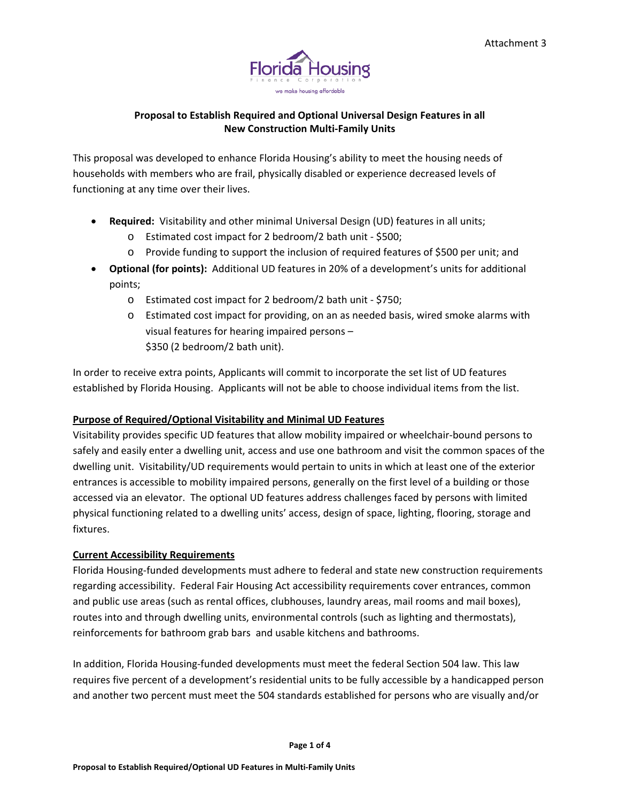

# **Proposal to Establish Required and Optional Universal Design Features in all New Construction Multi‐Family Units**

This proposal was developed to enhance Florida Housing's ability to meet the housing needs of households with members who are frail, physically disabled or experience decreased levels of functioning at any time over their lives.

- **Required:** Visitability and other minimal Universal Design (UD) features in all units;
	- o Estimated cost impact for 2 bedroom/2 bath unit ‐ \$500;
	- o Provide funding to support the inclusion of required features of \$500 per unit; and
- **Optional (for points):** Additional UD features in 20% of a development's units for additional points;
	- o Estimated cost impact for 2 bedroom/2 bath unit ‐ \$750;
	- o Estimated cost impact for providing, on an as needed basis, wired smoke alarms with visual features for hearing impaired persons – \$350 (2 bedroom/2 bath unit).

In order to receive extra points, Applicants will commit to incorporate the set list of UD features established by Florida Housing. Applicants will not be able to choose individual items from the list.

# **Purpose of Required/Optional Visitability and Minimal UD Features**

Visitability provides specific UD features that allow mobility impaired or wheelchair‐bound persons to safely and easily enter a dwelling unit, access and use one bathroom and visit the common spaces of the dwelling unit. Visitability/UD requirements would pertain to units in which at least one of the exterior entrances is accessible to mobility impaired persons, generally on the first level of a building or those accessed via an elevator. The optional UD features address challenges faced by persons with limited physical functioning related to a dwelling units' access, design of space, lighting, flooring, storage and fixtures.

# **Current Accessibility Requirements**

Florida Housing‐funded developments must adhere to federal and state new construction requirements regarding accessibility. Federal Fair Housing Act accessibility requirements cover entrances, common and public use areas (such as rental offices, clubhouses, laundry areas, mail rooms and mail boxes), routes into and through dwelling units, environmental controls (such as lighting and thermostats), reinforcements for bathroom grab bars and usable kitchens and bathrooms.

In addition, Florida Housing‐funded developments must meet the federal Section 504 law. This law requires five percent of a development's residential units to be fully accessible by a handicapped person and another two percent must meet the 504 standards established for persons who are visually and/or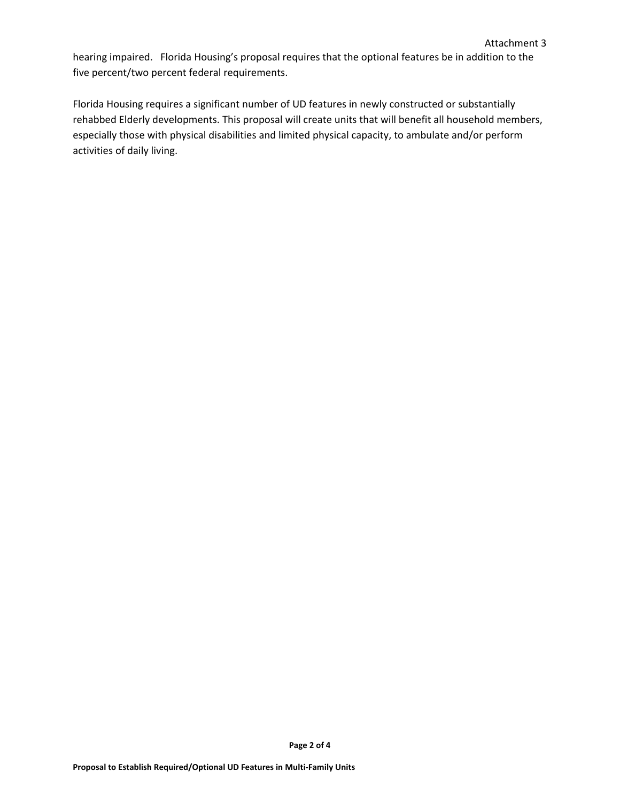hearing impaired. Florida Housing's proposal requires that the optional features be in addition to the five percent/two percent federal requirements.

Florida Housing requires a significant number of UD features in newly constructed or substantially rehabbed Elderly developments. This proposal will create units that will benefit all household members, especially those with physical disabilities and limited physical capacity, to ambulate and/or perform activities of daily living.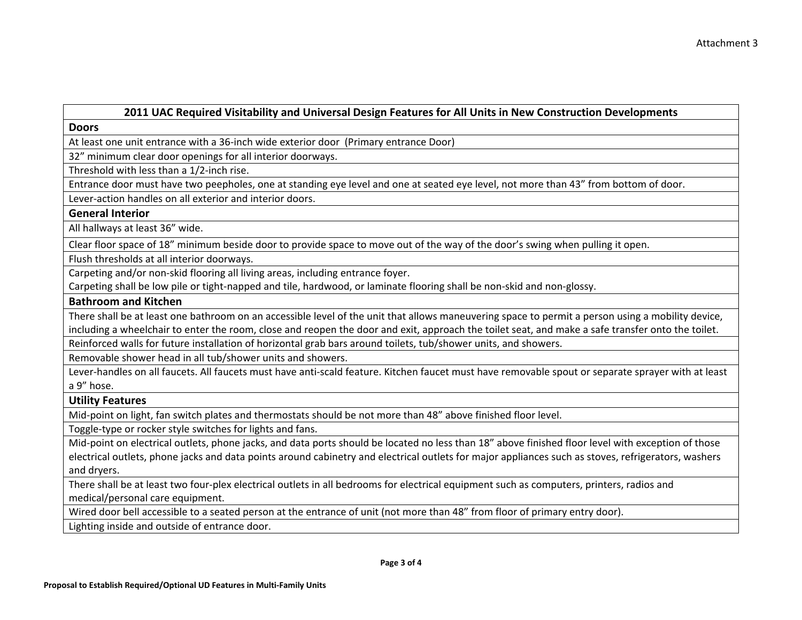### **2011 UAC Required Visitability and Universal Design Features for All Units in New Construction Developments**

**Doors**

At least one unit entrance with <sup>a</sup> 36‐inch wide exterior door (Primary entrance Door)

32" minimum clear door openings for all interior doorways.

Threshold with less than <sup>a</sup> 1/2‐inch rise.

Entrance door must have two peepholes, one at standing eye level and one at seated eye level, not more than 43" from bottom of door.

Lever‐action handles on all exterior and interior doors.

# **General Interior**

All hallways at least 36" wide.

Clear floor space of 18" minimum beside door to provide space to move out of the way of the door's swing when pulling it open.

Flush thresholds at all interior doorways.

Carpeting and/or non‐skid flooring all living areas, including entrance foyer.

Carpeting shall be low pile or tight‐napped and tile, hardwood, or laminate flooring shall be non‐skid and non‐glossy.

#### **Bathroom and Kitchen**

There shall be at least one bathroom on an accessible level of the unit that allows maneuvering space to permit <sup>a</sup> person using <sup>a</sup> mobility device, including <sup>a</sup> wheelchair to enter the room, close and reopen the door and exit, approach the toilet seat, and make <sup>a</sup> safe transfer onto the toilet.

Reinforced walls for future installation of horizontal grab bars around toilets, tub/shower units, and showers.

Removable shower head in all tub/shower units and showers.

Lever‐handles on all faucets. All faucets must have anti‐scald feature. Kitchen faucet must have removable spout or separate sprayer with at least a 9" hose.

#### **Utility Features**

Mid‐point on light, fan switch plates and thermostats should be not more than 48" above finished floor level.

Toggle‐type or rocker style switches for lights and fans.

Mid-point on electrical outlets, phone jacks, and data ports should be located no less than 18" above finished floor level with exception of those electrical outlets, phone jacks and data points around cabinetry and electrical outlets for major appliances such as stoves, refrigerators, washers and dryers.

There shall be at least two four‐plex electrical outlets in all bedrooms for electrical equipment such as computers, printers, radios and medical/personal care equipment.

Wired door bell accessible to <sup>a</sup> seated person at the entrance of unit (not more than 48" from floor of primary entry door).

Lighting inside and outside of entrance door.